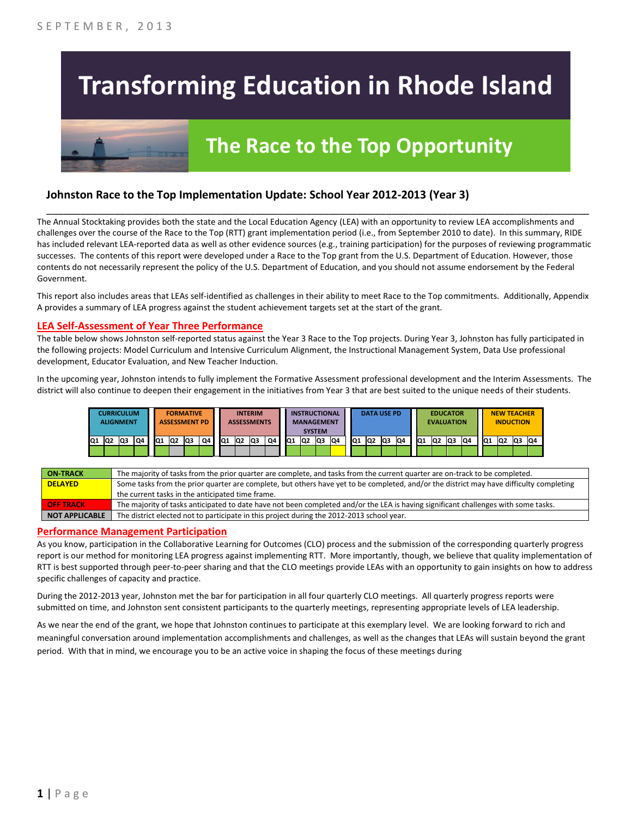# **Transforming Education in Rhode Island**

# **The Race to the Top Opportunity**

### **Johnston Race to the Top Implementation Update: School Year 2012-2013 (Year 3)**

The Annual Stocktaking provides both the state and the Local Education Agency (LEA) with an opportunity to review LEA accomplishments and challenges over the course of the Race to the Top (RTT) grant implementation period (i.e., from September 2010 to date). In this summary, RIDE has included relevant LEA-reported data as well as other evidence sources (e.g., training participation) for the purposes of reviewing programmatic successes. The contents of this report were developed under a Race to the Top grant from the U.S. Department of Education. However, those contents do not necessarily represent the policy of the U.S. Department of Education, and you should not assume endorsement by the Federal Government.

\_\_\_\_\_\_\_\_\_\_\_\_\_\_\_\_\_\_\_\_\_\_\_\_\_\_\_\_\_\_\_\_\_\_\_\_\_\_\_\_\_\_\_\_\_\_\_\_\_\_\_\_\_\_\_\_\_\_\_\_\_\_\_\_\_\_\_\_\_\_\_\_\_\_\_\_\_\_\_\_\_\_\_\_\_\_\_\_\_\_\_\_\_\_\_\_

This report also includes areas that LEAs self-identified as challenges in their ability to meet Race to the Top commitments. Additionally, Appendix A provides a summary of LEA progress against the student achievement targets set at the start of the grant.

#### **LEA Self-Assessment of Year Three Performance**

The table below shows Johnston self-reported status against the Year 3 Race to the Top projects. During Year 3, Johnston has fully participated in the following projects: Model Curriculum and Intensive Curriculum Alignment, the Instructional Management System, Data Use professional development, Educator Evaluation, and New Teacher Induction.

In the upcoming year, Johnston intends to fully implement the Formative Assessment professional development and the Interim Assessments. The district will also continue to deepen their engagement in the initiatives from Year 3 that are best suited to the unique needs of their students.



| <b>ON TRACK</b>  | The majority of tasks from the prior quarter are complete, and tasks from the current quarter are on-track to be completed.             |
|------------------|-----------------------------------------------------------------------------------------------------------------------------------------|
| <b>DELAYED</b>   | Some tasks from the prior quarter are complete, but others have yet to be completed, and/or the district may have difficulty completing |
|                  | the current tasks in the anticipated time frame.                                                                                        |
| <b>OFF TRACK</b> | The majority of tasks anticipated to date have not been completed and/or the LEA is having significant challenges with some tasks.      |
| NOT APPLICABLE   | The district elected not to participate in this project during the 2012-2013 school year.                                               |

#### **Performance Management Participation**

As you know, participation in the Collaborative Learning for Outcomes (CLO) process and the submission of the corresponding quarterly progress report is our method for monitoring LEA progress against implementing RTT. More importantly, though, we believe that quality implementation of RTT is best supported through peer-to-peer sharing and that the CLO meetings provide LEAs with an opportunity to gain insights on how to address specific challenges of capacity and practice.

During the 2012-2013 year, Johnston met the bar for participation in all four quarterly CLO meetings. All quarterly progress reports were submitted on time, and Johnston sent consistent participants to the quarterly meetings, representing appropriate levels of LEA leadership.

As we near the end of the grant, we hope that Johnston continues to participate at this exemplary level. We are looking forward to rich and meaningful conversation around implementation accomplishments and challenges, as well as the changes that LEAs will sustain beyond the grant period. With that in mind, we encourage you to be an active voice in shaping the focus of these meetings during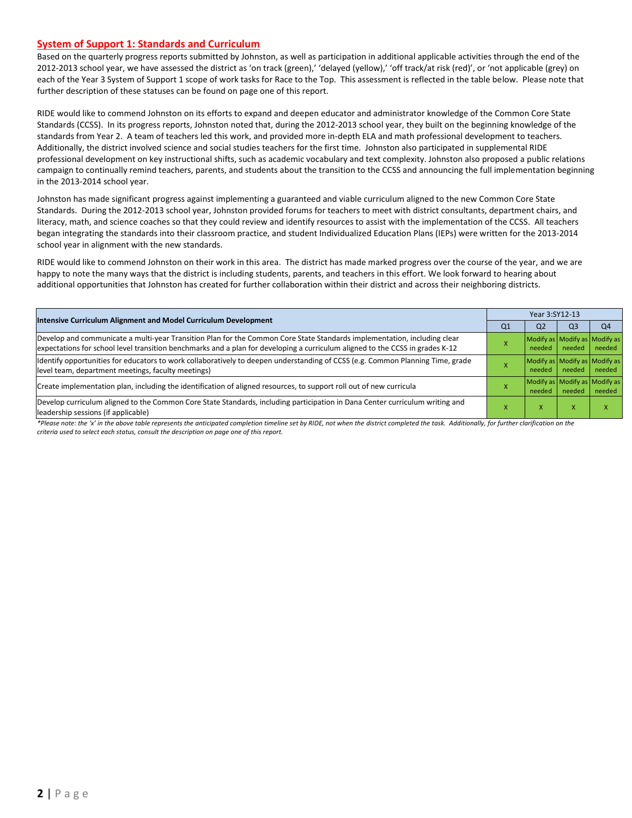#### **System of Support 1: Standards and Curriculum**

Based on the quarterly progress reports submitted by Johnston, as well as participation in additional applicable activities through the end of the 2012-2013 school year, we have assessed the district as 'on track (green),' 'delayed (yellow),' 'off track/at risk (red)', or 'not applicable (grey) on each of the Year 3 System of Support 1 scope of work tasks for Race to the Top. This assessment is reflected in the table below. Please note that further description of these statuses can be found on page one of this report.

RIDE would like to commend Johnston on its efforts to expand and deepen educator and administrator knowledge of the Common Core State Standards (CCSS). In its progress reports, Johnston noted that, during the 2012-2013 school year, they built on the beginning knowledge of the standards from Year 2. A team of teachers led this work, and provided more in-depth ELA and math professional development to teachers. Additionally, the district involved science and social studies teachers for the first time. Johnston also participated in supplemental RIDE professional development on key instructional shifts, such as academic vocabulary and text complexity. Johnston also proposed a public relations campaign to continually remind teachers, parents, and students about the transition to the CCSS and announcing the full implementation beginning in the 2013-2014 school year.

Johnston has made significant progress against implementing a guaranteed and viable curriculum aligned to the new Common Core State Standards. During the 2012-2013 school year, Johnston provided forums for teachers to meet with district consultants, department chairs, and literacy, math, and science coaches so that they could review and identify resources to assist with the implementation of the CCSS. All teachers began integrating the standards into their classroom practice, and student Individualized Education Plans (IEPs) were written for the 2013-2014 school year in alignment with the new standards.

RIDE would like to commend Johnston on their work in this area. The district has made marked progress over the course of the year, and we are happy to note the many ways that the district is including students, parents, and teachers in this effort. We look forward to hearing about additional opportunities that Johnston has created for further collaboration within their district and across their neighboring districts.

| <b>Intensive Curriculum Alignment and Model Curriculum Development</b>                                                                                                                                                                                    |                | Year 3:SY12-13                          |                |                |  |  |  |
|-----------------------------------------------------------------------------------------------------------------------------------------------------------------------------------------------------------------------------------------------------------|----------------|-----------------------------------------|----------------|----------------|--|--|--|
|                                                                                                                                                                                                                                                           | Q <sub>1</sub> | Q <sub>2</sub>                          | Q <sub>3</sub> | Q <sub>4</sub> |  |  |  |
| Develop and communicate a multi-year Transition Plan for the Common Core State Standards implementation, including clear<br>expectations for school level transition benchmarks and a plan for developing a curriculum aligned to the CCSS in grades K-12 |                | Modify as Modify as Modify as<br>needed | needed         | needed         |  |  |  |
| ldentify opportunities for educators to work collaboratively to deepen understanding of CCSS (e.g. Common Planning Time, grade<br>level team, department meetings, faculty meetings)                                                                      |                | Modify as Modify as Modify as<br>needed | needed         | needed         |  |  |  |
| Create implementation plan, including the identification of aligned resources, to support roll out of new curricula                                                                                                                                       |                | Modify as Modify as Modify as<br>needed | needed         | needed         |  |  |  |
| Develop curriculum aligned to the Common Core State Standards, including participation in Dana Center curriculum writing and<br>leadership sessions (if applicable)                                                                                       |                | x                                       | X              |                |  |  |  |

\*Please note: the 'x' in the above table represents the anticipated completion timeline set by RIDE, not when the district completed the task. Additionally, for further clarification on the *criteria used to select each status, consult the description on page one of this report.*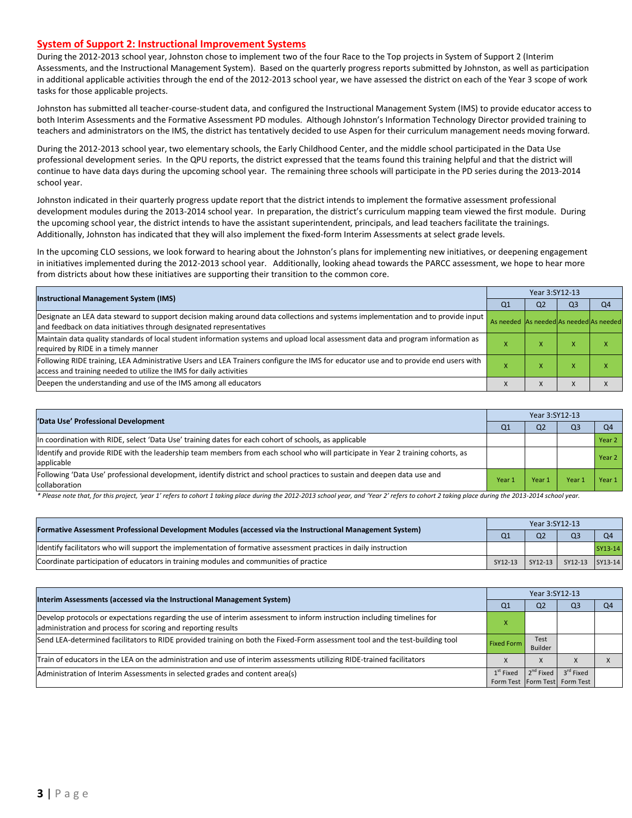#### **System of Support 2: Instructional Improvement Systems**

During the 2012-2013 school year, Johnston chose to implement two of the four Race to the Top projects in System of Support 2 (Interim Assessments, and the Instructional Management System). Based on the quarterly progress reports submitted by Johnston, as well as participation in additional applicable activities through the end of the 2012-2013 school year, we have assessed the district on each of the Year 3 scope of work tasks for those applicable projects.

Johnston has submitted all teacher-course-student data, and configured the Instructional Management System (IMS) to provide educator access to both Interim Assessments and the Formative Assessment PD modules. Although Johnston's Information Technology Director provided training to teachers and administrators on the IMS, the district has tentatively decided to use Aspen for their curriculum management needs moving forward.

During the 2012-2013 school year, two elementary schools, the Early Childhood Center, and the middle school participated in the Data Use professional development series. In the QPU reports, the district expressed that the teams found this training helpful and that the district will continue to have data days during the upcoming school year. The remaining three schools will participate in the PD series during the 2013-2014 school year.

Johnston indicated in their quarterly progress update report that the district intends to implement the formative assessment professional development modules during the 2013-2014 school year. In preparation, the district's curriculum mapping team viewed the first module. During the upcoming school year, the district intends to have the assistant superintendent, principals, and lead teachers facilitate the trainings. Additionally, Johnston has indicated that they will also implement the fixed-form Interim Assessments at select grade levels.

In the upcoming CLO sessions, we look forward to hearing about the Johnston's plans for implementing new initiatives, or deepening engagement in initiatives implemented during the 2012-2013 school year. Additionally, looking ahead towards the PARCC assessment, we hope to hear more from districts about how these initiatives are supporting their transition to the common core.

|                                                                                                                                                                                                           |                                         | Year 3:SY12-13 |                |                |  |  |  |
|-----------------------------------------------------------------------------------------------------------------------------------------------------------------------------------------------------------|-----------------------------------------|----------------|----------------|----------------|--|--|--|
| <b>Instructional Management System (IMS)</b>                                                                                                                                                              | Q1                                      | Q <sub>2</sub> | Q <sub>3</sub> | O <sub>4</sub> |  |  |  |
| Designate an LEA data steward to support decision making around data collections and systems implementation and to provide input<br>and feedback on data initiatives through designated representatives   | As needed As needed As needed As needed |                |                |                |  |  |  |
| Maintain data quality standards of local student information systems and upload local assessment data and program information as<br>required by RIDE in a timely manner                                   |                                         | $\mathbf{v}$   |                |                |  |  |  |
| Following RIDE training, LEA Administrative Users and LEA Trainers configure the IMS for educator use and to provide end users with<br>access and training needed to utilize the IMS for daily activities |                                         | $\mathbf{v}$   |                |                |  |  |  |
| Deepen the understanding and use of the IMS among all educators                                                                                                                                           |                                         |                |                |                |  |  |  |

| 'Data Use' Professional Development                                                                                                           |        | Year 3:SY12-13 |       |        |  |  |
|-----------------------------------------------------------------------------------------------------------------------------------------------|--------|----------------|-------|--------|--|--|
|                                                                                                                                               | Q1     | Q <sub>2</sub> | Q3    | O4     |  |  |
| In coordination with RIDE, select 'Data Use' training dates for each cohort of schools, as applicable                                         |        |                |       | Year 2 |  |  |
| Identify and provide RIDE with the leadership team members from each school who will participate in Year 2 training cohorts, as<br>applicable |        |                |       | Year 2 |  |  |
| Following 'Data Use' professional development, identify district and school practices to sustain and deepen data use and<br>collaboration     | Year 1 | Year 1         | Year: | Year 1 |  |  |

\* Please note that, for this project, 'year 1' refers to cohort 1 taking place during the 2012-2013 school year, and 'Year 2' refers to cohort 2 taking place during the 2013-2014 school year.

| [Formative Assessment Professional Development Modules (accessed via the Instructional Management System)        |         | Year 3:SY12-13     |                 |         |  |  |  |
|------------------------------------------------------------------------------------------------------------------|---------|--------------------|-----------------|---------|--|--|--|
|                                                                                                                  |         | Q <sub>2</sub>     |                 |         |  |  |  |
| ldentify facilitators who will support the implementation of formative assessment practices in daily instruction |         |                    |                 | SY13-14 |  |  |  |
| Coordinate participation of educators in training modules and communities of practice                            | SY12-13 | $\sqrt{3}$ SY12-13 | SY12-13 SY13-14 |         |  |  |  |

| Interim Assessments (accessed via the Instructional Management System)                                                                                                                  |                   | Year 3:SY12-13  |                               |  |  |  |
|-----------------------------------------------------------------------------------------------------------------------------------------------------------------------------------------|-------------------|-----------------|-------------------------------|--|--|--|
|                                                                                                                                                                                         | Q1                | Q <sub>2</sub>  | Q3                            |  |  |  |
| Develop protocols or expectations regarding the use of interim assessment to inform instruction including timelines for<br>administration and process for scoring and reporting results |                   |                 |                               |  |  |  |
| Send LEA-determined facilitators to RIDE provided training on both the Fixed-Form assessment tool and the test-building tool                                                            | <b>Fixed Form</b> | Test<br>Builder |                               |  |  |  |
| Train of educators in the LEA on the administration and use of interim assessments utilizing RIDE-trained facilitators                                                                  |                   | $\Lambda$       |                               |  |  |  |
| Administration of Interim Assessments in selected grades and content area(s)                                                                                                            | $1st$ Fixed       | $2^{nd}$ Fixed  | 3 <sup>rd</sup> Fixed         |  |  |  |
|                                                                                                                                                                                         |                   |                 | Form Test Form Test Form Test |  |  |  |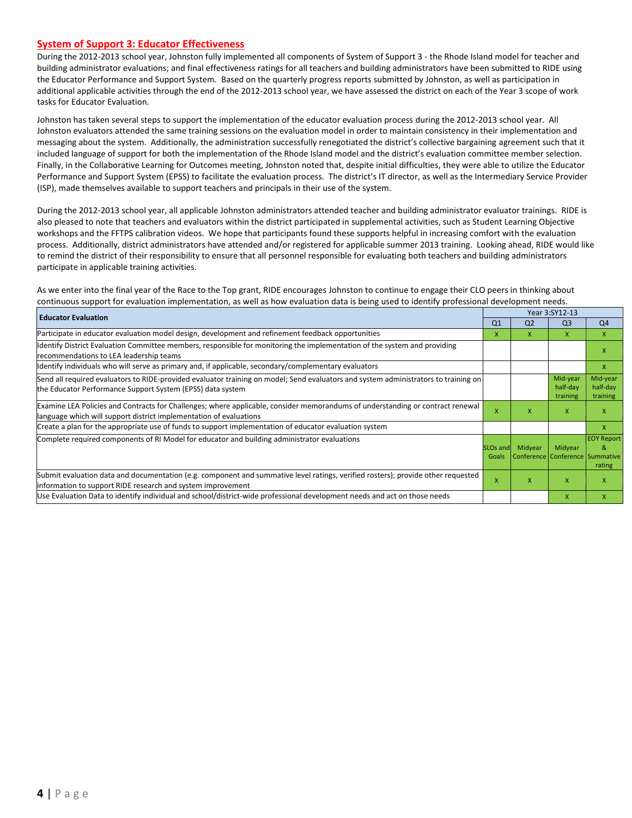#### **System of Support 3: Educator Effectiveness**

During the 2012-2013 school year, Johnston fully implemented all components of System of Support 3 - the Rhode Island model for teacher and building administrator evaluations; and final effectiveness ratings for all teachers and building administrators have been submitted to RIDE using the Educator Performance and Support System. Based on the quarterly progress reports submitted by Johnston, as well as participation in additional applicable activities through the end of the 2012-2013 school year, we have assessed the district on each of the Year 3 scope of work tasks for Educator Evaluation.

Johnston has taken several steps to support the implementation of the educator evaluation process during the 2012-2013 school year. All Johnston evaluators attended the same training sessions on the evaluation model in order to maintain consistency in their implementation and messaging about the system. Additionally, the administration successfully renegotiated the district's collective bargaining agreement such that it included language of support for both the implementation of the Rhode Island model and the district's evaluation committee member selection. Finally, in the Collaborative Learning for Outcomes meeting, Johnston noted that, despite initial difficulties, they were able to utilize the Educator Performance and Support System (EPSS) to facilitate the evaluation process. The district's IT director, as well as the Intermediary Service Provider (ISP), made themselves available to support teachers and principals in their use of the system.

During the 2012-2013 school year, all applicable Johnston administrators attended teacher and building administrator evaluator trainings. RIDE is also pleased to note that teachers and evaluators within the district participated in supplemental activities, such as Student Learning Objective workshops and the FFTPS calibration videos. We hope that participants found these supports helpful in increasing comfort with the evaluation process. Additionally, district administrators have attended and/or registered for applicable summer 2013 training. Looking ahead, RIDE would like to remind the district of their responsibility to ensure that all personnel responsible for evaluating both teachers and building administrators participate in applicable training activities.

As we enter into the final year of the Race to the Top grant, RIDE encourages Johnston to continue to engage their CLO peers in thinking about continuous support for evaluation implementation, as well as how evaluation data is being used to identify professional development needs.

| <b>Educator Evaluation</b>                                                                                                                                                                           |                   | Year 3:SY12-13 |                                            |                                  |  |
|------------------------------------------------------------------------------------------------------------------------------------------------------------------------------------------------------|-------------------|----------------|--------------------------------------------|----------------------------------|--|
|                                                                                                                                                                                                      | Q <sub>1</sub>    | Q <sub>2</sub> | Q <sub>3</sub>                             | Q4                               |  |
| Participate in educator evaluation model design, development and refinement feedback opportunities                                                                                                   | x                 | x              | $\mathsf{x}$                               | $\mathsf{x}$                     |  |
| Identify District Evaluation Committee members, responsible for monitoring the implementation of the system and providing<br>recommendations to LEA leadership teams                                 |                   |                |                                            | x                                |  |
| ldentify individuals who will serve as primary and, if applicable, secondary/complementary evaluators                                                                                                |                   |                |                                            | X                                |  |
| Send all required evaluators to RIDE-provided evaluator training on model; Send evaluators and system administrators to training on<br>the Educator Performance Support System (EPSS) data system    |                   |                | Mid-year<br>half-day<br>training           | Mid-year<br>half-day<br>training |  |
| Examine LEA Policies and Contracts for Challenges; where applicable, consider memorandums of understanding or contract renewal<br>language which will support district implementation of evaluations |                   |                | $\mathsf{x}$                               | X                                |  |
| Create a plan for the appropriate use of funds to support implementation of educator evaluation system                                                                                               |                   |                |                                            | X                                |  |
| Complete required components of RI Model for educator and building administrator evaluations                                                                                                         | SLOs and<br>Goals | Midyear        | Midyear<br>Conference Conference Summative | <b>EOY Report</b><br>&<br>rating |  |
| Submit evaluation data and documentation (e.g. component and summative level ratings, verified rosters); provide other requested<br>information to support RIDE research and system improvement      | X                 | X              | $\mathsf{x}$                               | X                                |  |
| Use Evaluation Data to identify individual and school/district-wide professional development needs and act on those needs                                                                            |                   |                | $\mathsf{x}$                               | $\mathsf{x}$                     |  |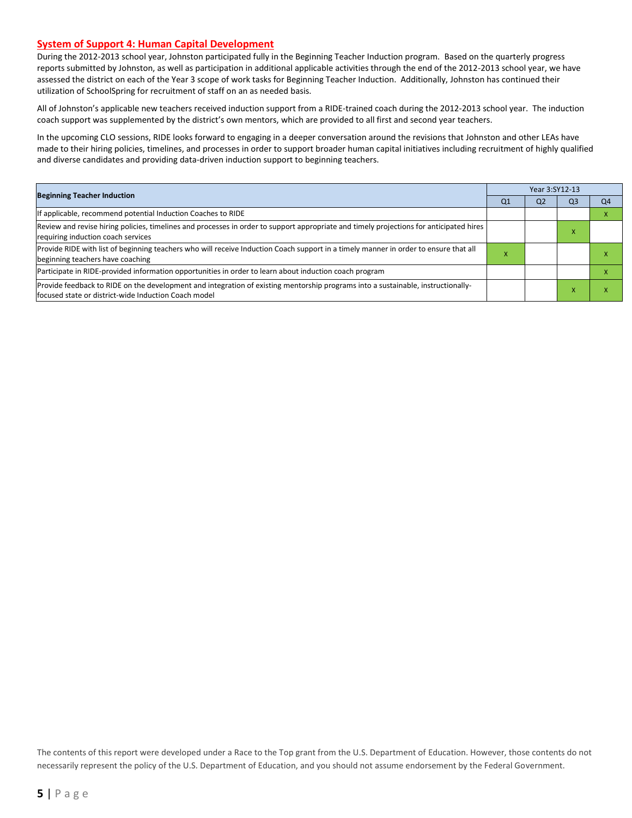#### **System of Support 4: Human Capital Development**

During the 2012-2013 school year, Johnston participated fully in the Beginning Teacher Induction program. Based on the quarterly progress reports submitted by Johnston, as well as participation in additional applicable activities through the end of the 2012-2013 school year, we have assessed the district on each of the Year 3 scope of work tasks for Beginning Teacher Induction. Additionally, Johnston has continued their utilization of SchoolSpring for recruitment of staff on an as needed basis.

All of Johnston's applicable new teachers received induction support from a RIDE-trained coach during the 2012-2013 school year. The induction coach support was supplemented by the district's own mentors, which are provided to all first and second year teachers.

In the upcoming CLO sessions, RIDE looks forward to engaging in a deeper conversation around the revisions that Johnston and other LEAs have made to their hiring policies, timelines, and processes in order to support broader human capital initiatives including recruitment of highly qualified and diverse candidates and providing data-driven induction support to beginning teachers.

|                                                                                                                                                                                          |           | Year 3:SY12-13 |    |    |  |  |  |
|------------------------------------------------------------------------------------------------------------------------------------------------------------------------------------------|-----------|----------------|----|----|--|--|--|
| <b>Beginning Teacher Induction</b>                                                                                                                                                       | Q1        | Q <sub>2</sub> | O3 | Q4 |  |  |  |
| If applicable, recommend potential Induction Coaches to RIDE                                                                                                                             |           |                |    |    |  |  |  |
| Review and revise hiring policies, timelines and processes in order to support appropriate and timely projections for anticipated hires<br>requiring induction coach services            |           |                |    |    |  |  |  |
| Provide RIDE with list of beginning teachers who will receive Induction Coach support in a timely manner in order to ensure that all<br>beginning teachers have coaching                 | $\lambda$ |                |    |    |  |  |  |
| Participate in RIDE-provided information opportunities in order to learn about induction coach program                                                                                   |           |                |    |    |  |  |  |
| Provide feedback to RIDE on the development and integration of existing mentorship programs into a sustainable, instructionally-<br>focused state or district-wide Induction Coach model |           |                |    |    |  |  |  |

The contents of this report were developed under a Race to the Top grant from the U.S. Department of Education. However, those contents do not necessarily represent the policy of the U.S. Department of Education, and you should not assume endorsement by the Federal Government.